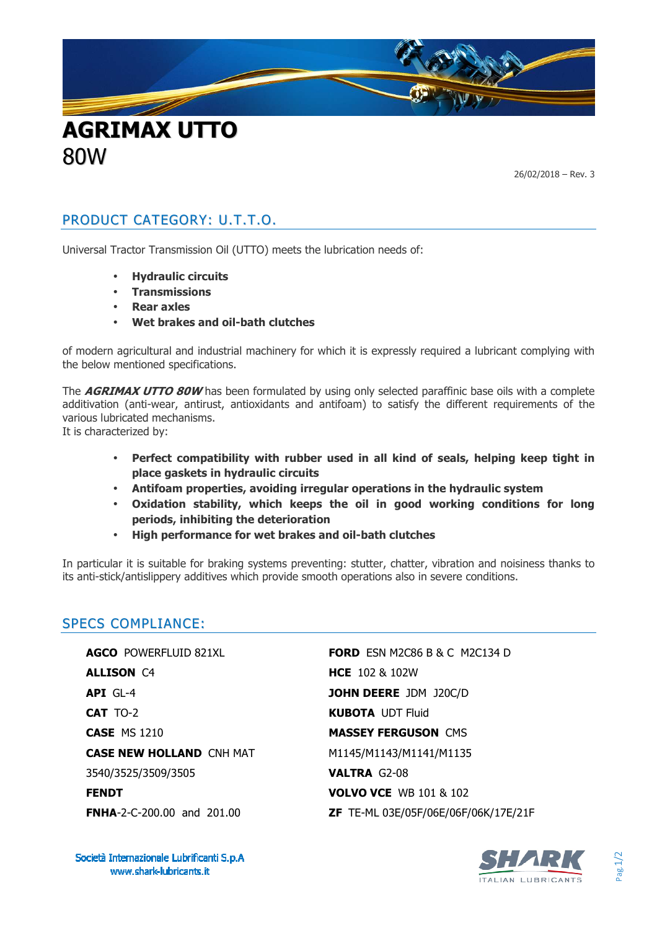

26/02/2018 – Rev. 3

## PRODUCT CATEGORY: U.T.T.O.

Universal Tractor Transmission Oil (UTTO) meets the lubrication needs of:

- **Hydraulic circuits**
- **Transmissions**
- **Rear axles**
- **Wet brakes and oil-bath clutches**

of modern agricultural and industrial machinery for which it is expressly required a lubricant complying with the below mentioned specifications.

The **AGRIMAX UTTO 80W** has been formulated by using only selected paraffinic base oils with a complete additivation (anti-wear, antirust, antioxidants and antifoam) to satisfy the different requirements of the various lubricated mechanisms.

It is characterized by:

80W

- **Perfect compatibility with rubber used in all kind of seals, helping keep tight in place gaskets in hydraulic circuits**
- **Antifoam properties, avoiding irregular operations in the hydraulic system**
- **Oxidation stability, which keeps the oil in good working conditions for long periods, inhibiting the deterioration**
- **High performance for wet brakes and oil-bath clutches**

In particular it is suitable for braking systems preventing: stutter, chatter, vibration and noisiness thanks to its anti-stick/antislippery additives which provide smooth operations also in severe conditions.

## SPECS COMPLIANCE:

**AGCO** POWERFLUID 821XL **ALLISON** C4 **API** GL-4 **CAT** TO-2 **CASE** MS 1210 **CASE NEW HOLLAND** CNH MAT 3540/3525/3509/3505 **FENDT** 

**FORD** ESN M2C86 B & C M2C134 D **HCE** 102 & 102W **JOHN DEERE** JDM J20C/D **KUBOTA** UDT Fluid **MASSEY FERGUSON** CMS M1145/M1143/M1141/M1135 **VALTRA** G2-08 **VOLVO VCE** WB 101 & 102 **ZF** TE-ML 03E/05F/06E/06F/06K/17E/21F

Società Internazionale Lubrificanti S.p.A www.shark-lubricants.it

**FNHA**-2-C-200.00 and 201.00